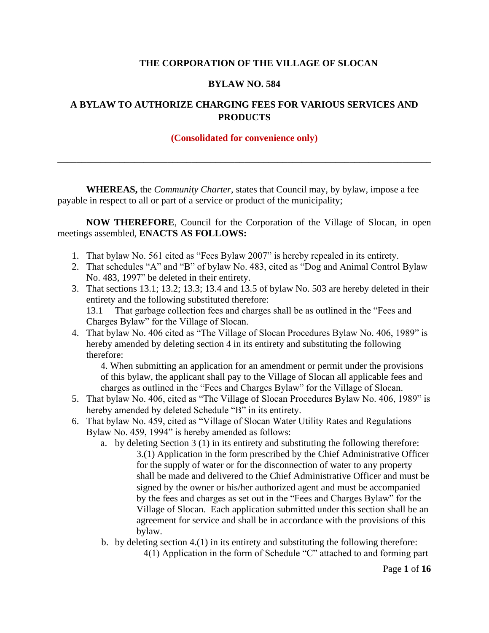#### **THE CORPORATION OF THE VILLAGE OF SLOCAN**

#### **BYLAW NO. 584**

### **A BYLAW TO AUTHORIZE CHARGING FEES FOR VARIOUS SERVICES AND PRODUCTS**

#### **(Consolidated for convenience only)**

\_\_\_\_\_\_\_\_\_\_\_\_\_\_\_\_\_\_\_\_\_\_\_\_\_\_\_\_\_\_\_\_\_\_\_\_\_\_\_\_\_\_\_\_\_\_\_\_\_\_\_\_\_\_\_\_\_\_\_\_\_\_\_\_\_\_\_\_\_\_\_\_\_\_\_\_\_\_

**WHEREAS,** the *Community Charter*, states that Council may, by bylaw, impose a fee payable in respect to all or part of a service or product of the municipality;

**NOW THEREFORE**, Council for the Corporation of the Village of Slocan, in open meetings assembled, **ENACTS AS FOLLOWS:**

- 1. That bylaw No. 561 cited as "Fees Bylaw 2007" is hereby repealed in its entirety.
- 2. That schedules "A" and "B" of bylaw No. 483, cited as "Dog and Animal Control Bylaw No. 483, 1997" be deleted in their entirety.
- 3. That sections 13.1; 13.2; 13.3; 13.4 and 13.5 of bylaw No. 503 are hereby deleted in their entirety and the following substituted therefore:

13.1 That garbage collection fees and charges shall be as outlined in the "Fees and Charges Bylaw" for the Village of Slocan.

4. That bylaw No. 406 cited as "The Village of Slocan Procedures Bylaw No. 406, 1989" is hereby amended by deleting section 4 in its entirety and substituting the following therefore:

4. When submitting an application for an amendment or permit under the provisions of this bylaw, the applicant shall pay to the Village of Slocan all applicable fees and charges as outlined in the "Fees and Charges Bylaw" for the Village of Slocan.

- 5. That bylaw No. 406, cited as "The Village of Slocan Procedures Bylaw No. 406, 1989" is hereby amended by deleted Schedule "B" in its entirety.
- 6. That bylaw No. 459, cited as "Village of Slocan Water Utility Rates and Regulations Bylaw No. 459, 1994" is hereby amended as follows:
	- a. by deleting Section 3 (1) in its entirety and substituting the following therefore: 3.(1) Application in the form prescribed by the Chief Administrative Officer for the supply of water or for the disconnection of water to any property shall be made and delivered to the Chief Administrative Officer and must be signed by the owner or his/her authorized agent and must be accompanied by the fees and charges as set out in the "Fees and Charges Bylaw" for the Village of Slocan. Each application submitted under this section shall be an agreement for service and shall be in accordance with the provisions of this bylaw.
	- b. by deleting section 4.(1) in its entirety and substituting the following therefore: 4(1) Application in the form of Schedule "C" attached to and forming part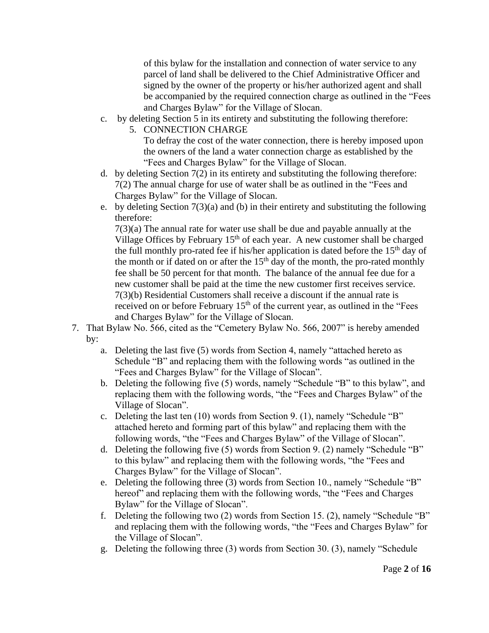of this bylaw for the installation and connection of water service to any parcel of land shall be delivered to the Chief Administrative Officer and signed by the owner of the property or his/her authorized agent and shall be accompanied by the required connection charge as outlined in the "Fees and Charges Bylaw" for the Village of Slocan.

- c. by deleting Section 5 in its entirety and substituting the following therefore:
	- 5. CONNECTION CHARGE To defray the cost of the water connection, there is hereby imposed upon the owners of the land a water connection charge as established by the "Fees and Charges Bylaw" for the Village of Slocan.
- d. by deleting Section 7(2) in its entirety and substituting the following therefore: 7(2) The annual charge for use of water shall be as outlined in the "Fees and Charges Bylaw" for the Village of Slocan.
- e. by deleting Section 7(3)(a) and (b) in their entirety and substituting the following therefore:

7(3)(a) The annual rate for water use shall be due and payable annually at the Village Offices by February  $15<sup>th</sup>$  of each year. A new customer shall be charged the full monthly pro-rated fee if his/her application is dated before the  $15<sup>th</sup>$  day of the month or if dated on or after the  $15<sup>th</sup>$  day of the month, the pro-rated monthly fee shall be 50 percent for that month. The balance of the annual fee due for a new customer shall be paid at the time the new customer first receives service. 7(3)(b) Residential Customers shall receive a discount if the annual rate is received on or before February  $15<sup>th</sup>$  of the current year, as outlined in the "Fees and Charges Bylaw" for the Village of Slocan.

- 7. That Bylaw No. 566, cited as the "Cemetery Bylaw No. 566, 2007" is hereby amended by:
	- a. Deleting the last five (5) words from Section 4, namely "attached hereto as Schedule "B" and replacing them with the following words "as outlined in the "Fees and Charges Bylaw" for the Village of Slocan".
	- b. Deleting the following five (5) words, namely "Schedule "B" to this bylaw", and replacing them with the following words, "the "Fees and Charges Bylaw" of the Village of Slocan".
	- c. Deleting the last ten (10) words from Section 9. (1), namely "Schedule "B" attached hereto and forming part of this bylaw" and replacing them with the following words, "the "Fees and Charges Bylaw" of the Village of Slocan".
	- d. Deleting the following five (5) words from Section 9. (2) namely "Schedule "B" to this bylaw" and replacing them with the following words, "the "Fees and Charges Bylaw" for the Village of Slocan".
	- e. Deleting the following three (3) words from Section 10., namely "Schedule "B" hereof" and replacing them with the following words, "the "Fees and Charges" Bylaw" for the Village of Slocan".
	- f. Deleting the following two (2) words from Section 15. (2), namely "Schedule "B" and replacing them with the following words, "the "Fees and Charges Bylaw" for the Village of Slocan".
	- g. Deleting the following three (3) words from Section 30. (3), namely "Schedule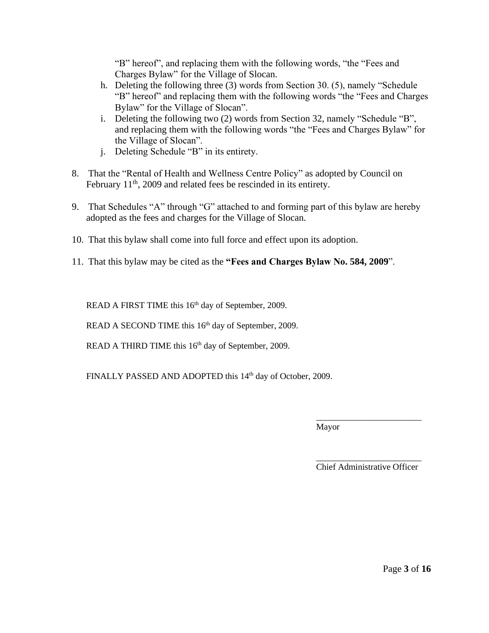"B" hereof", and replacing them with the following words, "the "Fees and Charges Bylaw" for the Village of Slocan.

- h. Deleting the following three (3) words from Section 30. (5), namely "Schedule "B" hereof" and replacing them with the following words "the "Fees and Charges Bylaw" for the Village of Slocan".
- i. Deleting the following two (2) words from Section 32, namely "Schedule "B", and replacing them with the following words "the "Fees and Charges Bylaw" for the Village of Slocan".
- j. Deleting Schedule "B" in its entirety.
- 8. That the "Rental of Health and Wellness Centre Policy" as adopted by Council on February 11<sup>th</sup>, 2009 and related fees be rescinded in its entirety.
- 9. That Schedules "A" through "G" attached to and forming part of this bylaw are hereby adopted as the fees and charges for the Village of Slocan.
- 10. That this bylaw shall come into full force and effect upon its adoption.
- 11. That this bylaw may be cited as the **"Fees and Charges Bylaw No. 584, 2009**".

READ A FIRST TIME this 16<sup>th</sup> day of September, 2009.

READ A SECOND TIME this 16<sup>th</sup> day of September, 2009.

READ A THIRD TIME this 16<sup>th</sup> day of September, 2009.

FINALLY PASSED AND ADOPTED this 14<sup>th</sup> day of October, 2009.

\_\_\_\_\_\_\_\_\_\_\_\_\_\_\_\_\_\_\_\_\_\_\_\_ Mayor

\_\_\_\_\_\_\_\_\_\_\_\_\_\_\_\_\_\_\_\_\_\_\_\_ Chief Administrative Officer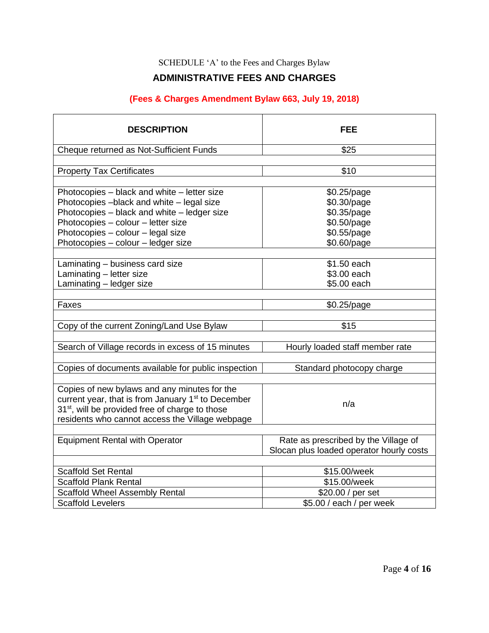### SCHEDULE 'A' to the Fees and Charges Bylaw

## **ADMINISTRATIVE FEES AND CHARGES**

## **(Fees & Charges Amendment Bylaw 663, July 19, 2018)**

| <b>DESCRIPTION</b>                                                                                                                                                                                                                                       | <b>FEE</b>                                                                             |
|----------------------------------------------------------------------------------------------------------------------------------------------------------------------------------------------------------------------------------------------------------|----------------------------------------------------------------------------------------|
| Cheque returned as Not-Sufficient Funds                                                                                                                                                                                                                  | \$25                                                                                   |
|                                                                                                                                                                                                                                                          |                                                                                        |
| <b>Property Tax Certificates</b>                                                                                                                                                                                                                         | \$10                                                                                   |
| Photocopies - black and white - letter size<br>Photocopies -black and white - legal size<br>Photocopies - black and white - ledger size<br>Photocopies - colour - letter size<br>Photocopies - colour - legal size<br>Photocopies - colour - ledger size | \$0.25/page<br>\$0.30/page<br>\$0.35/page<br>\$0.50/page<br>\$0.55/page<br>\$0.60/page |
| Laminating - business card size                                                                                                                                                                                                                          | \$1.50 each<br>\$3.00 each                                                             |
| Laminating - letter size<br>Laminating - ledger size                                                                                                                                                                                                     | \$5.00 each                                                                            |
|                                                                                                                                                                                                                                                          |                                                                                        |
| Faxes                                                                                                                                                                                                                                                    | \$0.25/page                                                                            |
| Copy of the current Zoning/Land Use Bylaw<br>Search of Village records in excess of 15 minutes                                                                                                                                                           | \$15<br>Hourly loaded staff member rate                                                |
| Copies of documents available for public inspection                                                                                                                                                                                                      | Standard photocopy charge                                                              |
| Copies of new bylaws and any minutes for the<br>current year, that is from January 1 <sup>st</sup> to December<br>31 <sup>st</sup> , will be provided free of charge to those<br>residents who cannot access the Village webpage                         | n/a                                                                                    |
| <b>Equipment Rental with Operator</b>                                                                                                                                                                                                                    | Rate as prescribed by the Village of<br>Slocan plus loaded operator hourly costs       |
| <b>Scaffold Set Rental</b>                                                                                                                                                                                                                               | \$15.00/week                                                                           |
| <b>Scaffold Plank Rental</b>                                                                                                                                                                                                                             | \$15.00/week                                                                           |
| <b>Scaffold Wheel Assembly Rental</b>                                                                                                                                                                                                                    | \$20.00 / per set                                                                      |
| <b>Scaffold Levelers</b>                                                                                                                                                                                                                                 | \$5.00 / each / per week                                                               |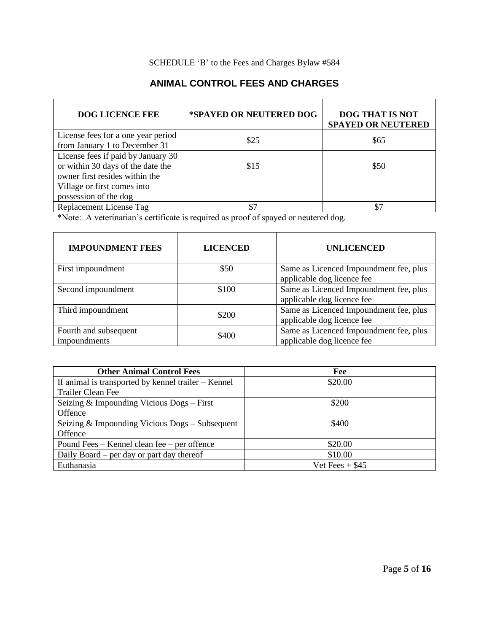### SCHEDULE 'B' to the Fees and Charges Bylaw #584

## **ANIMAL CONTROL FEES AND CHARGES**

| <b>DOG LICENCE FEE</b>                                                                                                                                            | *SPAYED OR NEUTERED DOG | <b>DOG THAT IS NOT</b><br><b>SPAYED OR NEUTERED</b> |
|-------------------------------------------------------------------------------------------------------------------------------------------------------------------|-------------------------|-----------------------------------------------------|
| License fees for a one year period<br>from January 1 to December 31                                                                                               | \$25                    | \$65                                                |
| License fees if paid by January 30<br>or within 30 days of the date the<br>owner first resides within the<br>Village or first comes into<br>possession of the dog | \$15                    | \$50                                                |
| Replacement License Tag                                                                                                                                           |                         |                                                     |

\*Note: A veterinarian's certificate is required as proof of spayed or neutered dog.

| <b>IMPOUNDMENT FEES</b>               | <b>LICENCED</b> | <b>UNLICENCED</b>                                                    |
|---------------------------------------|-----------------|----------------------------------------------------------------------|
| First impoundment                     | \$50            | Same as Licenced Impoundment fee, plus<br>applicable dog licence fee |
| Second impoundment                    | \$100           | Same as Licenced Impoundment fee, plus<br>applicable dog licence fee |
| Third impoundment                     | \$200           | Same as Licenced Impoundment fee, plus<br>applicable dog licence fee |
| Fourth and subsequent<br>impoundments | \$400           | Same as Licenced Impoundment fee, plus<br>applicable dog licence fee |

| <b>Other Animal Control Fees</b>                      | Fee               |
|-------------------------------------------------------|-------------------|
| If animal is transported by kennel trailer $-$ Kennel | \$20.00           |
| Trailer Clean Fee                                     |                   |
| Seizing & Impounding Vicious Dogs - First             | \$200             |
| Offence                                               |                   |
| Seizing $&$ Impounding Vicious Dogs $-$ Subsequent    | \$400             |
| Offence                                               |                   |
| Pound Fees – Kennel clean fee – per offence           | \$20.00           |
| Daily Board – per day or part day thereof             | \$10.00           |
| Euthanasia                                            | Vet Fees $+$ \$45 |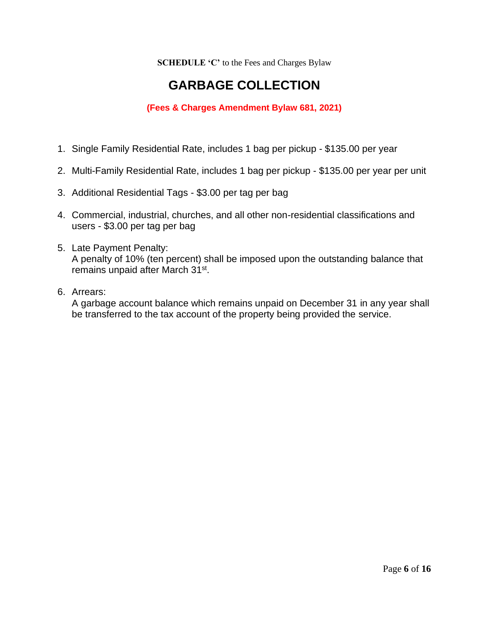**SCHEDULE 'C'** to the Fees and Charges Bylaw

## **GARBAGE COLLECTION**

## **(Fees & Charges Amendment Bylaw 681, 2021)**

- 1. Single Family Residential Rate, includes 1 bag per pickup \$135.00 per year
- 2. Multi-Family Residential Rate, includes 1 bag per pickup \$135.00 per year per unit
- 3. Additional Residential Tags \$3.00 per tag per bag
- 4. Commercial, industrial, churches, and all other non-residential classifications and users - \$3.00 per tag per bag
- 5. Late Payment Penalty: A penalty of 10% (ten percent) shall be imposed upon the outstanding balance that remains unpaid after March 31<sup>st</sup>.
- 6. Arrears:

A garbage account balance which remains unpaid on December 31 in any year shall be transferred to the tax account of the property being provided the service.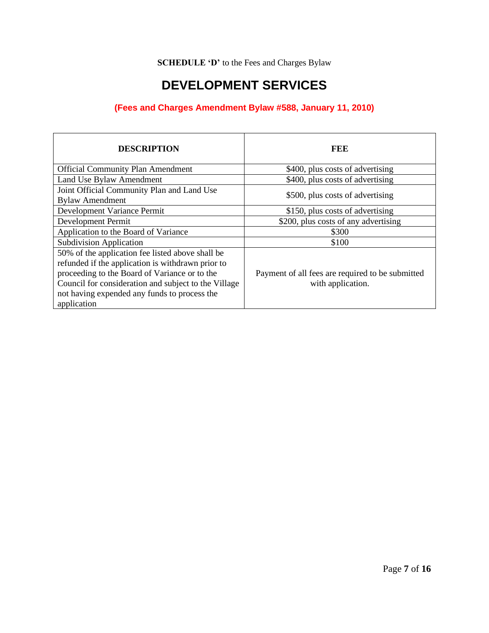**SCHEDULE 'D'** to the Fees and Charges Bylaw

## **DEVELOPMENT SERVICES**

## **(Fees and Charges Amendment Bylaw #588, January 11, 2010)**

| <b>DESCRIPTION</b>                                                                                                                                                                                                                                                            | FEE                                                                   |
|-------------------------------------------------------------------------------------------------------------------------------------------------------------------------------------------------------------------------------------------------------------------------------|-----------------------------------------------------------------------|
| <b>Official Community Plan Amendment</b>                                                                                                                                                                                                                                      | \$400, plus costs of advertising                                      |
| Land Use Bylaw Amendment                                                                                                                                                                                                                                                      | \$400, plus costs of advertising                                      |
| Joint Official Community Plan and Land Use<br><b>Bylaw Amendment</b>                                                                                                                                                                                                          | \$500, plus costs of advertising                                      |
| Development Variance Permit                                                                                                                                                                                                                                                   | \$150, plus costs of advertising                                      |
| Development Permit                                                                                                                                                                                                                                                            | \$200, plus costs of any advertising                                  |
| Application to the Board of Variance                                                                                                                                                                                                                                          | \$300                                                                 |
| <b>Subdivision Application</b>                                                                                                                                                                                                                                                | \$100                                                                 |
| 50% of the application fee listed above shall be<br>refunded if the application is withdrawn prior to<br>proceeding to the Board of Variance or to the<br>Council for consideration and subject to the Village<br>not having expended any funds to process the<br>application | Payment of all fees are required to be submitted<br>with application. |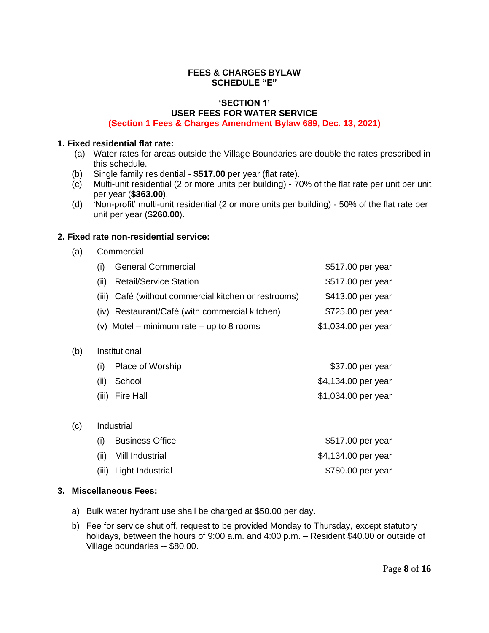#### **FEES & CHARGES BYLAW SCHEDULE "E"**

#### **'SECTION 1' USER FEES FOR WATER SERVICE (Section 1 Fees & Charges Amendment Bylaw 689, Dec. 13, 2021)**

#### **1. Fixed residential flat rate:**

- (a) Water rates for areas outside the Village Boundaries are double the rates prescribed in this schedule.
- (b) Single family residential **\$517.00** per year (flat rate).
- Multi-unit residential (2 or more units per building) 70% of the flat rate per unit per unit per year (**\$363.00**).
- (d) 'Non-profit' multi-unit residential (2 or more units per building) 50% of the flat rate per unit per year (\$**260.00**).

#### **2. Fixed rate non-residential service:**

(a) Commercial

|      | (i) General Commercial                               | \$517.00 per year   |
|------|------------------------------------------------------|---------------------|
| (ii) | <b>Retail/Service Station</b>                        | \$517.00 per year   |
|      | (iii) Café (without commercial kitchen or restrooms) | \$413.00 per year   |
|      | (iv) Restaurant/Café (with commercial kitchen)       | \$725.00 per year   |
|      | (v) Motel – minimum rate – up to 8 rooms             | \$1,034.00 per year |
|      |                                                      |                     |

(b) Institutional

| (i) Place of Worship | \$37.00 per year    |
|----------------------|---------------------|
| (ii) School          | \$4,134.00 per year |
| (iii) Fire Hall      | \$1,034.00 per year |

(i) Business Office  $$517.00$  per year (ii) Mill Industrial  $$4,134.00$  per year (iii) Light Industrial  $$780.00$  per year

#### **3. Miscellaneous Fees:**

(c) Industrial

- a) Bulk water hydrant use shall be charged at \$50.00 per day.
- b) Fee for service shut off, request to be provided Monday to Thursday, except statutory holidays, between the hours of 9:00 a.m. and 4:00 p.m. – Resident \$40.00 or outside of Village boundaries -- \$80.00.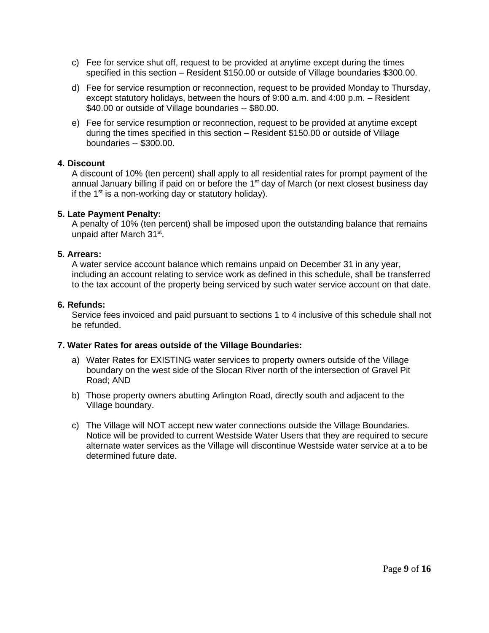- c) Fee for service shut off, request to be provided at anytime except during the times specified in this section – Resident \$150.00 or outside of Village boundaries \$300.00.
- d) Fee for service resumption or reconnection, request to be provided Monday to Thursday, except statutory holidays, between the hours of 9:00 a.m. and 4:00 p.m. – Resident \$40.00 or outside of Village boundaries -- \$80.00.
- e) Fee for service resumption or reconnection, request to be provided at anytime except during the times specified in this section – Resident \$150.00 or outside of Village boundaries -- \$300.00.

#### **4. Discount**

A discount of 10% (ten percent) shall apply to all residential rates for prompt payment of the annual January billing if paid on or before the 1<sup>st</sup> day of March (or next closest business day if the 1<sup>st</sup> is a non-working day or statutory holiday).

#### **5. Late Payment Penalty:**

A penalty of 10% (ten percent) shall be imposed upon the outstanding balance that remains unpaid after March 31<sup>st</sup>.

#### **5. Arrears:**

A water service account balance which remains unpaid on December 31 in any year, including an account relating to service work as defined in this schedule, shall be transferred to the tax account of the property being serviced by such water service account on that date.

#### **6. Refunds:**

Service fees invoiced and paid pursuant to sections 1 to 4 inclusive of this schedule shall not be refunded.

#### **7. Water Rates for areas outside of the Village Boundaries:**

- a) Water Rates for EXISTING water services to property owners outside of the Village boundary on the west side of the Slocan River north of the intersection of Gravel Pit Road; AND
- b) Those property owners abutting Arlington Road, directly south and adjacent to the Village boundary.
- c) The Village will NOT accept new water connections outside the Village Boundaries. Notice will be provided to current Westside Water Users that they are required to secure alternate water services as the Village will discontinue Westside water service at a to be determined future date.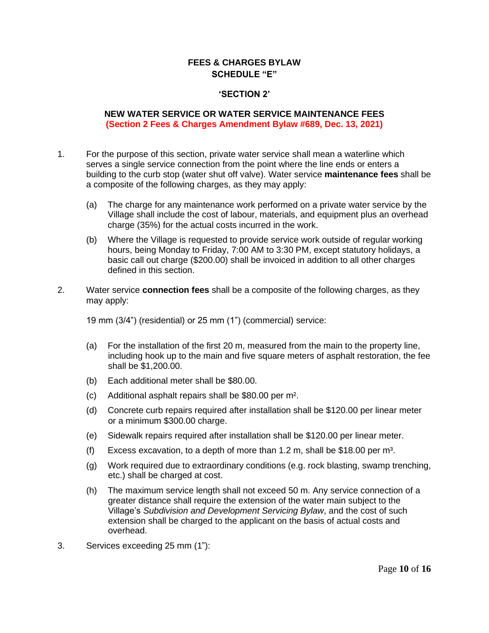#### **FEES & CHARGES BYLAW SCHEDULE "E"**

#### **'SECTION 2'**

#### **NEW WATER SERVICE OR WATER SERVICE MAINTENANCE FEES (Section 2 Fees & Charges Amendment Bylaw #689, Dec. 13, 2021)**

- 1. For the purpose of this section, private water service shall mean a waterline which serves a single service connection from the point where the line ends or enters a building to the curb stop (water shut off valve). Water service **maintenance fees** shall be a composite of the following charges, as they may apply:
	- (a) The charge for any maintenance work performed on a private water service by the Village shall include the cost of labour, materials, and equipment plus an overhead charge (35%) for the actual costs incurred in the work.
	- (b) Where the Village is requested to provide service work outside of regular working hours, being Monday to Friday, 7:00 AM to 3:30 PM, except statutory holidays, a basic call out charge (\$200.00) shall be invoiced in addition to all other charges defined in this section.
- 2. Water service **connection fees** shall be a composite of the following charges, as they may apply:

19 mm (3/4") (residential) or 25 mm (1") (commercial) service:

- (a) For the installation of the first 20 m, measured from the main to the property line, including hook up to the main and five square meters of asphalt restoration, the fee shall be \$1,200.00.
- (b) Each additional meter shall be \$80.00.
- (c) Additional asphalt repairs shall be \$80.00 per m².
- (d) Concrete curb repairs required after installation shall be \$120.00 per linear meter or a minimum \$300.00 charge.
- (e) Sidewalk repairs required after installation shall be \$120.00 per linear meter.
- (f) Excess excavation, to a depth of more than  $1.2$  m, shall be \$18.00 per m<sup>3</sup>.
- (g) Work required due to extraordinary conditions (e.g. rock blasting, swamp trenching, etc.) shall be charged at cost.
- (h) The maximum service length shall not exceed 50 m. Any service connection of a greater distance shall require the extension of the water main subject to the Village's *Subdivision and Development Servicing Bylaw*, and the cost of such extension shall be charged to the applicant on the basis of actual costs and overhead.
- 3. Services exceeding 25 mm (1"):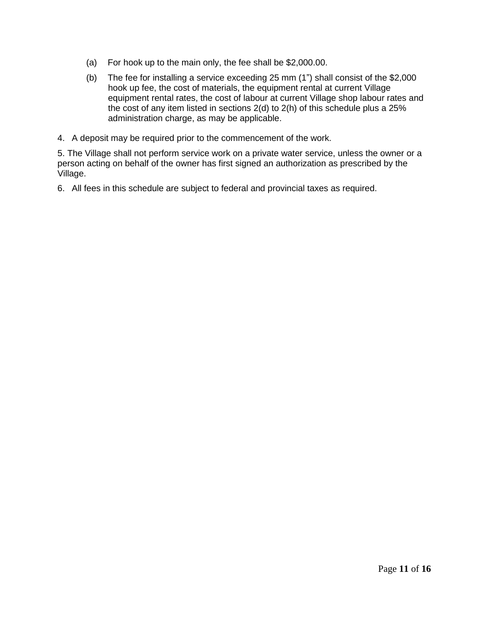- (a) For hook up to the main only, the fee shall be \$2,000.00.
- (b) The fee for installing a service exceeding 25 mm (1") shall consist of the \$2,000 hook up fee, the cost of materials, the equipment rental at current Village equipment rental rates, the cost of labour at current Village shop labour rates and the cost of any item listed in sections 2(d) to 2(h) of this schedule plus a 25% administration charge, as may be applicable.
- 4. A deposit may be required prior to the commencement of the work.

5. The Village shall not perform service work on a private water service, unless the owner or a person acting on behalf of the owner has first signed an authorization as prescribed by the Village.

6. All fees in this schedule are subject to federal and provincial taxes as required.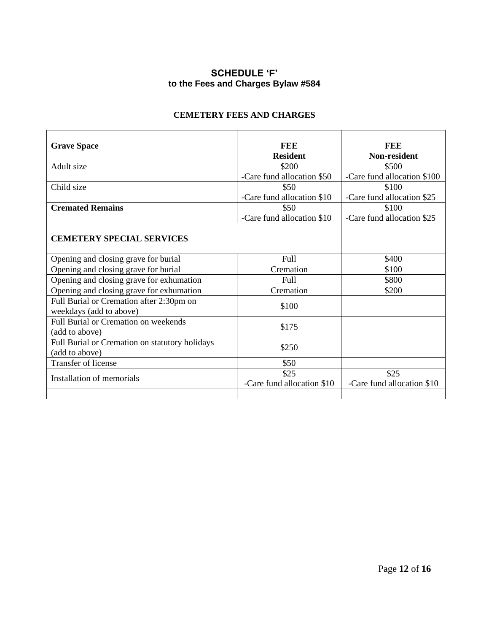## **SCHEDULE 'F' to the Fees and Charges Bylaw #584**

#### **CEMETERY FEES AND CHARGES**

| <b>Grave Space</b>                             | <b>FEE</b>                 | FEE                         |
|------------------------------------------------|----------------------------|-----------------------------|
|                                                | <b>Resident</b>            | Non-resident                |
| Adult size                                     | \$200                      | \$500                       |
|                                                | -Care fund allocation \$50 | -Care fund allocation \$100 |
| Child size                                     | \$50                       | \$100                       |
|                                                | -Care fund allocation \$10 | -Care fund allocation \$25  |
| <b>Cremated Remains</b>                        | \$50                       | \$100                       |
|                                                | -Care fund allocation \$10 | -Care fund allocation \$25  |
|                                                |                            |                             |
| <b>CEMETERY SPECIAL SERVICES</b>               |                            |                             |
|                                                |                            |                             |
| Opening and closing grave for burial           | Full                       | \$400                       |
| Opening and closing grave for burial           | Cremation                  | \$100                       |
| Opening and closing grave for exhumation       | Full                       | \$800                       |
| Opening and closing grave for exhumation       | Cremation                  | \$200                       |
| Full Burial or Cremation after 2:30pm on       | \$100                      |                             |
| weekdays (add to above)                        |                            |                             |
| <b>Full Burial or Cremation on weekends</b>    |                            |                             |
| (add to above)                                 | \$175                      |                             |
| Full Burial or Cremation on statutory holidays |                            |                             |
| (add to above)                                 | \$250                      |                             |
| Transfer of license                            | \$50                       |                             |
| Installation of memorials                      | \$25                       | \$25                        |
|                                                | -Care fund allocation \$10 | -Care fund allocation \$10  |
|                                                |                            |                             |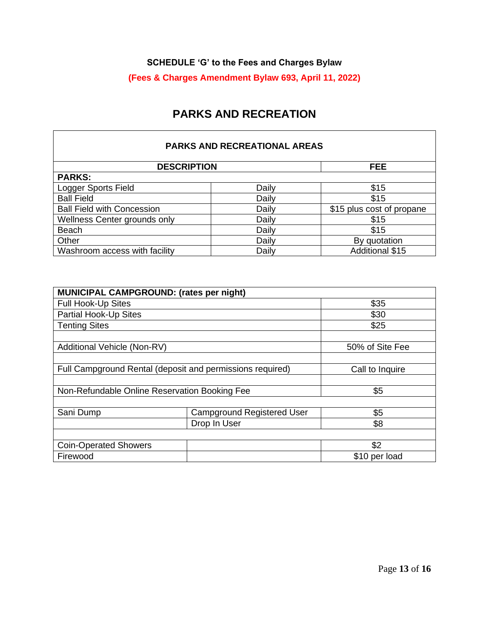### **SCHEDULE 'G' to the Fees and Charges Bylaw**

## **(Fees & Charges Amendment Bylaw 693, April 11, 2022)**

## **PARKS AND RECREATION**

#### **PARKS AND RECREATIONAL AREAS**

| <b>DESCRIPTION</b>                |       | FEE.                      |
|-----------------------------------|-------|---------------------------|
| <b>PARKS:</b>                     |       |                           |
| Logger Sports Field               | Daily | \$15                      |
| <b>Ball Field</b>                 | Daily | \$15                      |
| <b>Ball Field with Concession</b> | Daily | \$15 plus cost of propane |
| Wellness Center grounds only      | Daily | \$15                      |
| <b>Beach</b>                      | Daily | \$15                      |
| Other                             | Daily | By quotation              |
| Washroom access with facility     | Daily | <b>Additional \$15</b>    |

| MUNICIPAL CAMPGROUND: (rates per night)                   |                                   |                 |
|-----------------------------------------------------------|-----------------------------------|-----------------|
| <b>Full Hook-Up Sites</b>                                 |                                   | \$35            |
| Partial Hook-Up Sites                                     |                                   | \$30            |
| <b>Tenting Sites</b>                                      |                                   | \$25            |
|                                                           |                                   |                 |
| Additional Vehicle (Non-RV)                               |                                   | 50% of Site Fee |
|                                                           |                                   |                 |
| Full Campground Rental (deposit and permissions required) |                                   | Call to Inquire |
|                                                           |                                   |                 |
| Non-Refundable Online Reservation Booking Fee             |                                   | \$5             |
|                                                           |                                   |                 |
| Sani Dump                                                 | <b>Campground Registered User</b> | \$5             |
| Drop In User                                              |                                   | \$8             |
|                                                           |                                   |                 |
| <b>Coin-Operated Showers</b>                              |                                   | \$2             |
| Firewood                                                  |                                   | \$10 per load   |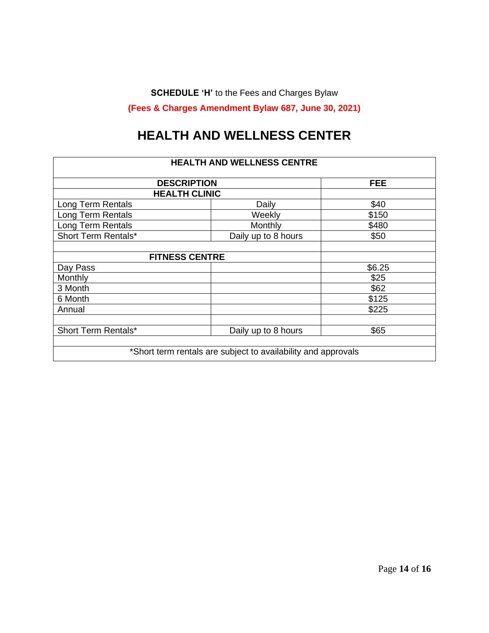**SCHEDULE 'H'** to the Fees and Charges Bylaw

**(Fees & Charges Amendment Bylaw 687, June 30, 2021)**

## **HEALTH AND WELLNESS CENTER**

| <b>HEALTH AND WELLNESS CENTRE</b> |                                                               |        |  |
|-----------------------------------|---------------------------------------------------------------|--------|--|
|                                   | <b>DESCRIPTION</b><br><b>FEE</b>                              |        |  |
| <b>HEALTH CLINIC</b>              |                                                               |        |  |
| Long Term Rentals                 | Daily                                                         | \$40   |  |
| Long Term Rentals                 | Weekly                                                        | \$150  |  |
| Long Term Rentals                 | Monthly                                                       | \$480  |  |
| Short Term Rentals*               | Daily up to 8 hours                                           | \$50   |  |
|                                   |                                                               |        |  |
| <b>FITNESS CENTRE</b>             |                                                               |        |  |
| Day Pass                          |                                                               | \$6.25 |  |
| Monthly                           |                                                               | \$25   |  |
| 3 Month                           |                                                               | \$62   |  |
| 6 Month                           |                                                               | \$125  |  |
| Annual                            |                                                               | \$225  |  |
|                                   |                                                               |        |  |
| Short Term Rentals*               | Daily up to 8 hours                                           | \$65   |  |
|                                   |                                                               |        |  |
|                                   | *Short term rentals are subject to availability and approvals |        |  |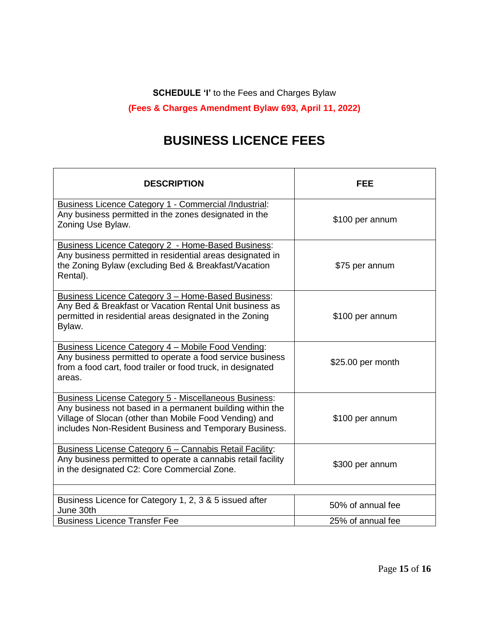**SCHEDULE 'I'** to the Fees and Charges Bylaw

**(Fees & Charges Amendment Bylaw 693, April 11, 2022)**

## **BUSINESS LICENCE FEES**

 $\Gamma$ 

| <b>DESCRIPTION</b>                                                                                                                                                                                                                            | <b>FEE</b>        |
|-----------------------------------------------------------------------------------------------------------------------------------------------------------------------------------------------------------------------------------------------|-------------------|
| Business Licence Category 1 - Commercial /Industrial:<br>Any business permitted in the zones designated in the<br>Zoning Use Bylaw.                                                                                                           | \$100 per annum   |
| <b>Business Licence Category 2 - Home-Based Business:</b><br>Any business permitted in residential areas designated in<br>the Zoning Bylaw (excluding Bed & Breakfast/Vacation<br>Rental).                                                    | \$75 per annum    |
| <b>Business Licence Category 3 - Home-Based Business:</b><br>Any Bed & Breakfast or Vacation Rental Unit business as<br>permitted in residential areas designated in the Zoning<br>Bylaw.                                                     | \$100 per annum   |
| Business Licence Category 4 - Mobile Food Vending:<br>Any business permitted to operate a food service business<br>from a food cart, food trailer or food truck, in designated<br>areas.                                                      | \$25.00 per month |
| <b>Business License Category 5 - Miscellaneous Business:</b><br>Any business not based in a permanent building within the<br>Village of Slocan (other than Mobile Food Vending) and<br>includes Non-Resident Business and Temporary Business. | \$100 per annum   |
| Business License Category 6 - Cannabis Retail Facility:<br>Any business permitted to operate a cannabis retail facility<br>in the designated C2: Core Commercial Zone.                                                                        | \$300 per annum   |
| Business Licence for Category 1, 2, 3 & 5 issued after                                                                                                                                                                                        | 50% of annual fee |
| June 30th<br><b>Business Licence Transfer Fee</b>                                                                                                                                                                                             | 25% of annual fee |